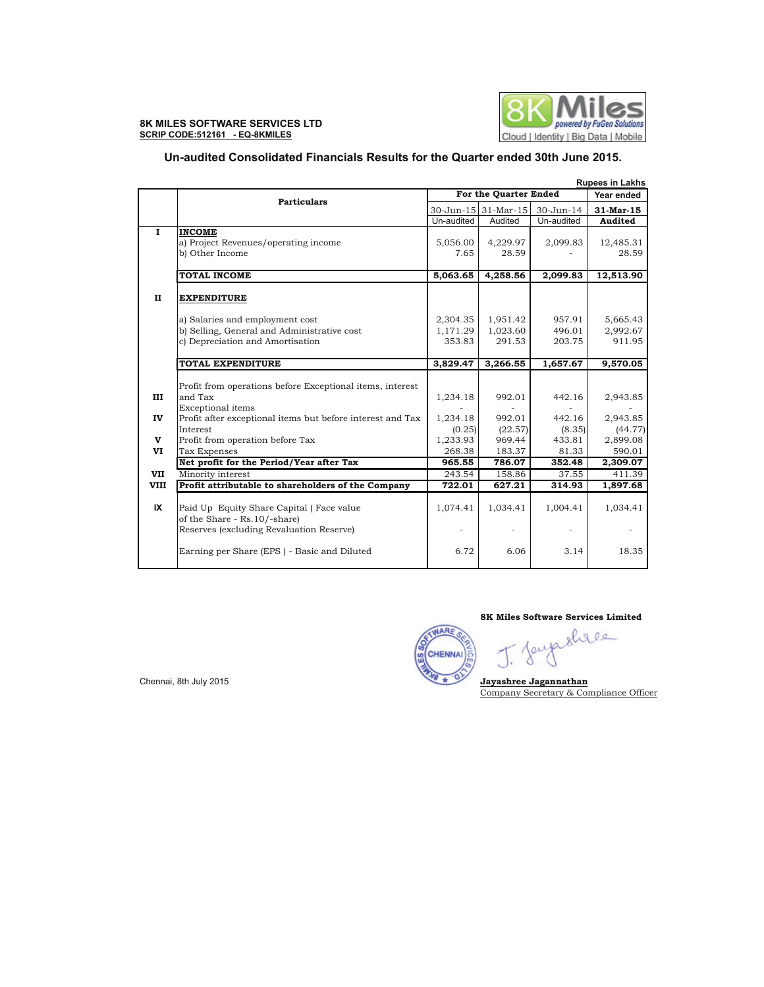

# **Un-audited Consolidated Financials Results for the Quarter ended 30th June 2015.**

|              |                                                                                | <b>Rupees in Lakhs</b> |                      |            |                      |  |
|--------------|--------------------------------------------------------------------------------|------------------------|----------------------|------------|----------------------|--|
|              | <b>Particulars</b>                                                             | For the Quarter Ended  | Year ended           |            |                      |  |
|              |                                                                                |                        | 30-Jun-15 31-Mar-15  | 30-Jun-14  | $31$ -Mar-15         |  |
|              |                                                                                | Un-audited             | Audited              | Un-audited | Audited              |  |
| 1            | <b>INCOME</b>                                                                  |                        |                      |            |                      |  |
|              | a) Project Revenues/operating income                                           | 5,056.00               | 4,229.97             | 2,099.83   | 12,485.31            |  |
|              | b) Other Income                                                                | 7.65                   | 28.59                |            | 28.59                |  |
|              |                                                                                |                        |                      |            |                      |  |
|              | <b>TOTAL INCOME</b>                                                            | 5,063.65               | 4,258.56             | 2,099.83   | 12,513.90            |  |
|              |                                                                                |                        |                      |            |                      |  |
| $\mathbf{I}$ | <b>EXPENDITURE</b>                                                             |                        |                      |            |                      |  |
|              |                                                                                |                        |                      | 957.91     |                      |  |
|              | a) Salaries and employment cost<br>b) Selling, General and Administrative cost | 2,304.35<br>1,171.29   | 1,951.42<br>1,023.60 | 496.01     | 5,665.43<br>2,992.67 |  |
|              | c) Depreciation and Amortisation                                               | 353.83                 | 291.53               | 203.75     | 911.95               |  |
|              |                                                                                |                        |                      |            |                      |  |
|              | <b>TOTAL EXPENDITURE</b>                                                       | 3,829.47               | 3,266.55             | 1,657.67   | 9,570.05             |  |
|              |                                                                                |                        |                      |            |                      |  |
|              | Profit from operations before Exceptional items, interest                      |                        |                      |            |                      |  |
| III          | and Tax                                                                        | 1,234.18               | 992.01               | 442.16     | 2,943.85             |  |
|              | Exceptional items                                                              |                        |                      |            |                      |  |
| IV           | Profit after exceptional items but before interest and Tax                     | 1,234.18               | 992.01               | 442.16     | 2,943.85             |  |
|              | Interest                                                                       | (0.25)                 | (22.57)              | (8.35)     | (44.77)              |  |
| $\mathbf{v}$ | Profit from operation before Tax                                               | 1,233.93               | 969.44               | 433.81     | 2,899.08             |  |
| VI           | <b>Tax Expenses</b>                                                            | 268.38                 | 183.37               | 81.33      | 590.01               |  |
|              | Net profit for the Period/Year after Tax                                       | 965.55                 | 786.07               | 352.48     | 2,309.07             |  |
| VII          | Minority interest                                                              | 243.54                 | 158.86               | 37.55      | 411.39               |  |
| <b>VIII</b>  | Profit attributable to shareholders of the Company                             | 722.01                 | 627.21               | 314.93     | 1,897.68             |  |
|              |                                                                                |                        |                      |            |                      |  |
| IX           | Paid Up Equity Share Capital (Face value                                       | 1,074.41               | 1,034.41             | 1,004.41   | 1,034.41             |  |
|              | of the Share - Rs.10/-share)                                                   |                        |                      |            |                      |  |
|              | Reserves (excluding Revaluation Reserve)                                       |                        |                      |            |                      |  |
|              | Earning per Share (EPS) - Basic and Diluted                                    | 6.72                   | 6.06                 | 3.14       | 18.35                |  |
|              |                                                                                |                        |                      |            |                      |  |

**8K Miles Software Services Limited**

δ

WARE **CHENNAI** ō

Chennai, 8th July 2015 **Jayashree Jagannathan** Company Secretary & Compliance Officer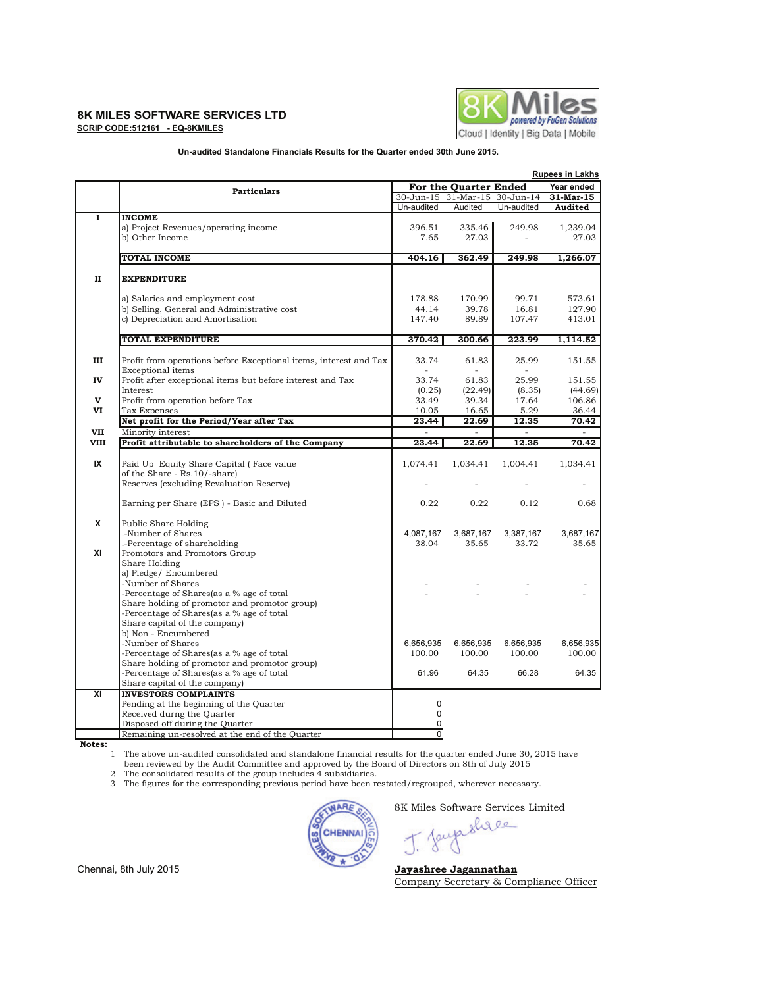#### **8K MILES SOFTWARE SERVICES LTD DEVICES DEVICES EXAMPLES DEVICES DEVICES DEVICES EXAMPLES DEVICES DEVICES EXAMPLES DEVICES DEVICES EXAMPLES DEVICES DEVICES EXAMPLES DEVICES EXAMPLES EX SCRIP CODE:512161 - EQ-8KMILES**



### **Un-audited Standalone Financials Results for the Quarter ended 30th June 2015.**

|                | <b>Rupees in Lakhs</b>                                                                        |                                            |                               |            |           |
|----------------|-----------------------------------------------------------------------------------------------|--------------------------------------------|-------------------------------|------------|-----------|
|                | <b>Particulars</b>                                                                            | Year ended<br><b>For the Quarter Ended</b> |                               |            |           |
|                |                                                                                               |                                            | 30-Jun-15 31-Mar-15 30-Jun-14 |            | 31-Mar-15 |
|                |                                                                                               | Un-audited                                 | Audited                       | Un-audited | Audited   |
| $\overline{I}$ | <b>INCOME</b>                                                                                 |                                            |                               |            |           |
|                | a) Project Revenues/operating income                                                          | 396.51                                     | 335.46                        | 249.98     | 1,239.04  |
|                | b) Other Income                                                                               | 7.65                                       | 27.03                         |            | 27.03     |
|                | TOTAL INCOME                                                                                  | 404.16                                     | 362.49                        | 249.98     | 1,266.07  |
|                |                                                                                               |                                            |                               |            |           |
| п              | <b>EXPENDITURE</b>                                                                            |                                            |                               |            |           |
|                | a) Salaries and employment cost                                                               | 178.88                                     | 170.99                        | 99.71      | 573.61    |
|                | b) Selling, General and Administrative cost                                                   | 44.14                                      | 39.78                         | 16.81      | 127.90    |
|                | c) Depreciation and Amortisation                                                              | 147.40                                     | 89.89                         | 107.47     | 413.01    |
|                | TOTAL EXPENDITURE                                                                             | 370.42                                     | 300.66                        | 223.99     | 1,114.52  |
|                |                                                                                               |                                            |                               |            |           |
| Ш              | Profit from operations before Exceptional items, interest and Tax<br><b>Exceptional</b> items | 33.74                                      | 61.83                         | 25.99      | 151.55    |
| IV             | Profit after exceptional items but before interest and Tax                                    | 33.74                                      | 61.83                         | 25.99      | 151.55    |
|                | Interest                                                                                      | (0.25)                                     | (22.49)                       | (8.35)     | (44.69)   |
| V              | Profit from operation before Tax                                                              | 33.49                                      | 39.34                         | 17.64      | 106.86    |
| VI             | Tax Expenses                                                                                  | 10.05                                      | 16.65                         | 5.29       | 36.44     |
|                | Net profit for the Period/Year after Tax                                                      | 23.44                                      | 22.69                         | 12.35      | 70.42     |
| <b>VII</b>     | Minority interest                                                                             |                                            |                               |            |           |
| <b>VIII</b>    | Profit attributable to shareholders of the Company                                            | 23.44                                      | 22.69                         | 12.35      | 70.42     |
|                |                                                                                               |                                            |                               |            |           |
| IX             | Paid Up Equity Share Capital (Face value                                                      | 1,074.41                                   | 1,034.41                      | 1,004.41   | 1,034.41  |
|                | of the Share - Rs.10/-share)                                                                  |                                            |                               |            |           |
|                | Reserves (excluding Revaluation Reserve)                                                      |                                            |                               |            |           |
|                | Earning per Share (EPS) - Basic and Diluted                                                   | 0.22                                       | 0.22                          | 0.12       | 0.68      |
| x              | Public Share Holding                                                                          |                                            |                               |            |           |
|                | -Number of Shares                                                                             | 4,087,167                                  | 3,687,167                     | 3,387,167  | 3,687,167 |
|                | -Percentage of shareholding                                                                   | 38.04                                      | 35.65                         | 33.72      | 35.65     |
| XI             | Promotors and Promotors Group                                                                 |                                            |                               |            |           |
|                | Share Holding                                                                                 |                                            |                               |            |           |
|                | a) Pledge/Encumbered                                                                          |                                            |                               |            |           |
|                | Number of Shares                                                                              |                                            |                               |            |           |
|                | -Percentage of Shares(as a % age of total                                                     |                                            |                               |            |           |
|                | Share holding of promotor and promotor group)                                                 |                                            |                               |            |           |
|                | Percentage of Shares(as a % age of total                                                      |                                            |                               |            |           |
|                | Share capital of the company)                                                                 |                                            |                               |            |           |
|                | b) Non - Encumbered                                                                           |                                            |                               |            |           |
|                | -Number of Shares                                                                             | 6,656,935                                  | 6,656,935                     | 6,656,935  | 6,656,935 |
|                | -Percentage of Shares(as a % age of total                                                     | 100.00                                     | 100.00                        | 100.00     | 100.00    |
|                | Share holding of promotor and promotor group)                                                 |                                            |                               |            |           |
|                | -Percentage of Shares(as a % age of total                                                     | 61.96                                      | 64.35                         | 66.28      | 64.35     |
|                | Share capital of the company)                                                                 |                                            |                               |            |           |
| XI             | <b>INVESTORS COMPLAINTS</b>                                                                   |                                            |                               |            |           |
|                | Pending at the beginning of the Quarter                                                       | $\pmb{0}$                                  |                               |            |           |
|                | Received durng the Quarter                                                                    | $\Omega$                                   |                               |            |           |
|                | Disposed off during the Quarter                                                               | $\overline{0}$                             |                               |            |           |
|                | Remaining un-resolved at the end of the Quarter                                               | $\overline{0}$                             |                               |            |           |
|                |                                                                                               |                                            |                               |            |           |

**Notes:**

 The above un-audited consolidated and standalone financial results for the quarter ended June 30, 2015 have 1 been reviewed by the Audit Committee and approved by the Board of Directors on 8th of July 2015

2 The consolidated results of the group includes 4 subsidiaries.

3 The figures for the corresponding previous period have been restated/regrouped, wherever necessary.



8K Miles Software Services Limited

Chennai, 8th July 2015 **Jayashree Jagannathan** Company Secretary & Compliance Officer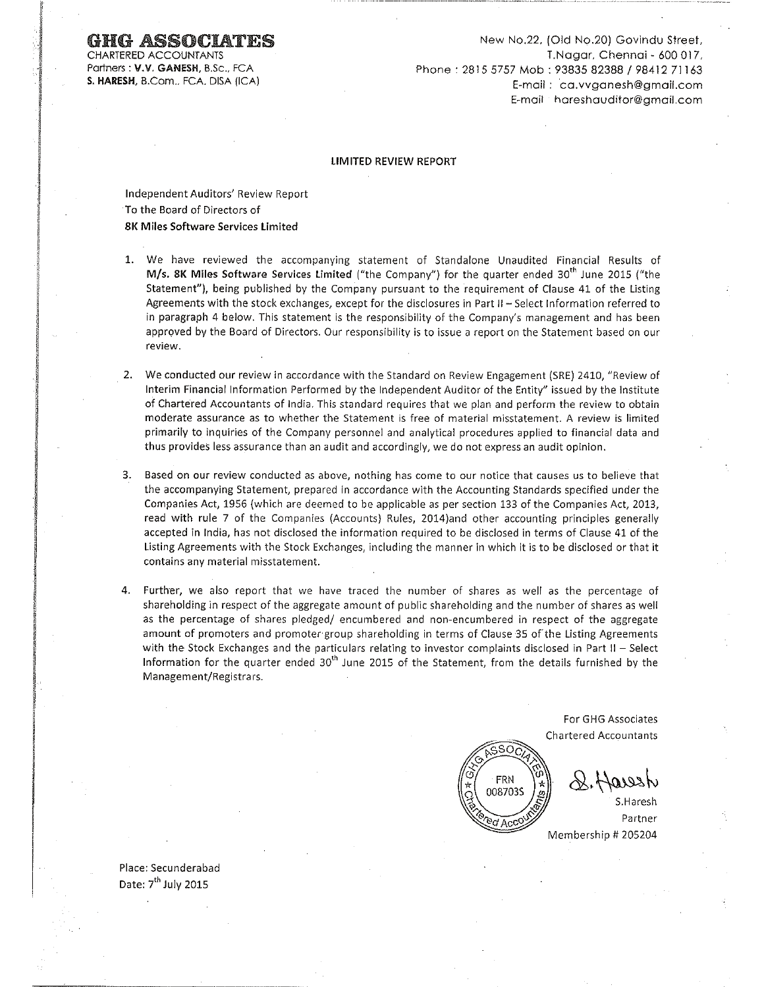CHARTERED ACCOUNTANTS Partners: V.V. GANESH, B.Sc., FCA S. HARESH, B.Com., FCA, DISA (ICA)

New No.22, (Old No.20) Govindu Street, T.Nagar, Chennai - 600 017, Phone: 2815 5757 Mob: 93835 82388 / 98412 71163 E-mail: ca.vvaanesh@amail.com E-mail hareshauditor@amail.com

#### **LIMITED REVIEW REPORT**

Independent Auditors' Review Report To the Board of Directors of **8K Miles Software Services Limited** 

- 1. We have reviewed the accompanying statement of Standalone Unaudited Financial Results of M/s. 8K Miles Software Services Limited ("the Company") for the quarter ended 30<sup>th</sup> June 2015 ("the Statement"), being published by the Company pursuant to the requirement of Clause 41 of the Listing Agreements with the stock exchanges, except for the disclosures in Part II - Select Information referred to in paragraph 4 below. This statement is the responsibility of the Company's management and has been approved by the Board of Directors. Our responsibility is to issue a report on the Statement based on our review.
- 2. We conducted our review in accordance with the Standard on Review Engagement (SRE) 2410, "Review of Interim Financial Information Performed by the Independent Auditor of the Entity" issued by the Institute of Chartered Accountants of India. This standard requires that we plan and perform the review to obtain moderate assurance as to whether the Statement is free of material misstatement. A review is limited primarily to inquiries of the Company personnel and analytical procedures applied to financial data and thus provides less assurance than an audit and accordingly, we do not express an audit opinion.
- 3. Based on our review conducted as above, nothing has come to our notice that causes us to believe that the accompanying Statement, prepared in accordance with the Accounting Standards specified under the Companies Act, 1956 (which are deemed to be applicable as per section 133 of the Companies Act, 2013, read with rule 7 of the Companies (Accounts) Rules, 2014)and other accounting principles generally accepted in India, has not disclosed the information required to be disclosed in terms of Clause 41 of the Listing Agreements with the Stock Exchanges, including the manner in which it is to be disclosed or that it contains any material misstatement.
- 4. Further, we also report that we have traced the number of shares as well as the percentage of shareholding in respect of the aggregate amount of public shareholding and the number of shares as well as the percentage of shares pledged/ encumbered and non-encumbered in respect of the aggregate amount of promoters and promoter group shareholding in terms of Clause 35 of the Listing Agreements with the Stock Exchanges and the particulars relating to investor complaints disclosed in Part II - Select Information for the quarter ended  $30<sup>th</sup>$  June 2015 of the Statement, from the details furnished by the Management/Registrars.

For GHG Associates **Chartered Accountants** 



Place: Secunderabad Date: 7<sup>th</sup> July 2015